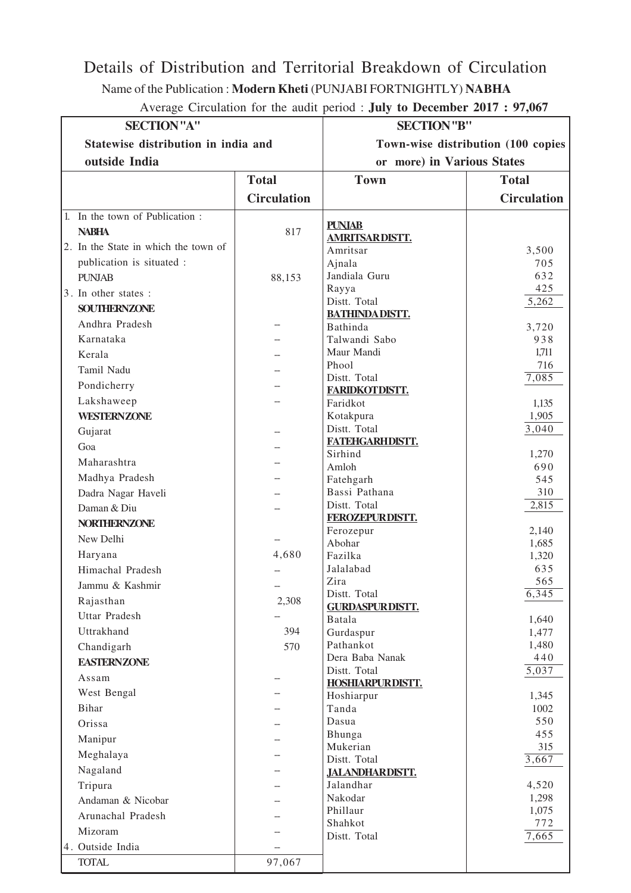## Details of Distribution and Territorial Breakdown of Circulation

Name of the Publication : **Modern Kheti** (PUNJABI FORTNIGHTLY) **NABHA**

| Average Circulation for the audit period : July to December 2017 : 97,067 |  |  |
|---------------------------------------------------------------------------|--|--|
|---------------------------------------------------------------------------|--|--|

| <b>SECTION</b> "A"                   |                    | <b>SECTION</b> "B"                     |                    |
|--------------------------------------|--------------------|----------------------------------------|--------------------|
| Statewise distribution in india and  |                    | Town-wise distribution (100 copies     |                    |
| outside India                        |                    | or more) in Various States             |                    |
|                                      | <b>Total</b>       | <b>Town</b>                            | <b>Total</b>       |
|                                      |                    |                                        |                    |
|                                      | <b>Circulation</b> |                                        | <b>Circulation</b> |
| 1. In the town of Publication:       |                    | <b>PUNJAB</b>                          |                    |
| <b>NABHA</b>                         | 817                | <b>AMRITSARDISTT.</b>                  |                    |
| 2. In the State in which the town of |                    | Amritsar                               | 3,500              |
| publication is situated :            |                    | Ajnala                                 | 705                |
| <b>PUNJAB</b>                        | 88,153             | Jandiala Guru                          | 632                |
| 3. In other states :                 |                    | Rayya                                  | 425                |
| <b>SOUTHERNZONE</b>                  |                    | Distt. Total                           | 5,262              |
| Andhra Pradesh                       |                    | <b>BATHINDADISTT.</b><br>Bathinda      | 3,720              |
| Karnataka                            |                    | Talwandi Sabo                          | 938                |
| Kerala                               |                    | Maur Mandi                             | 1,711              |
| Tamil Nadu                           |                    | Phool                                  | 716                |
|                                      |                    | Distt. Total                           | 7,085              |
| Pondicherry                          |                    | <b>FARIDKOTDISTT.</b>                  |                    |
| Lakshaweep                           |                    | Faridkot                               | 1,135              |
| <b>WESTERNZONE</b>                   |                    | Kotakpura                              | 1,905              |
| Gujarat                              |                    | Distt. Total<br>FATEHGARHDISTT.        | 3,040              |
| Goa                                  |                    | Sirhind                                | 1,270              |
| Maharashtra                          |                    | Amloh                                  | 690                |
| Madhya Pradesh                       |                    | Fatehgarh                              | 545                |
| Dadra Nagar Haveli                   |                    | Bassi Pathana                          | 310                |
| Daman & Diu                          |                    | Distt. Total                           | 2,815              |
| <b>NORTHERNZONE</b>                  |                    | FEROZEPURDISTT.                        |                    |
| New Delhi                            |                    | Ferozepur                              | 2,140              |
| Haryana                              | 4,680              | Abohar<br>Fazilka                      | 1,685<br>1,320     |
| Himachal Pradesh                     |                    | Jalalabad                              | 635                |
| Jammu & Kashmir                      |                    | Zira                                   | 565                |
|                                      |                    | Distt. Total                           | 6,345              |
| Rajasthan<br><b>Uttar Pradesh</b>    | 2,308              | <b>GURDASPUR DISTT.</b>                |                    |
|                                      |                    | Batala                                 | 1,640              |
| Uttrakhand                           | 394                | Gurdaspur                              | 1,477              |
| Chandigarh                           | 570                | Pathankot<br>Dera Baba Nanak           | 1,480<br>440       |
| <b>EASTERNZONE</b>                   |                    | Distt. Total                           | $\overline{5,037}$ |
| Assam                                |                    | <b>HOSHIARPURDISTT.</b>                |                    |
| West Bengal                          |                    | Hoshiarpur                             | 1,345              |
| Bihar                                |                    | Tanda                                  | 1002               |
| Orissa                               |                    | Dasua                                  | 550                |
| Manipur                              |                    | Bhunga                                 | 455                |
| Meghalaya                            |                    | Mukerian                               | 315                |
| Nagaland                             |                    | Distt. Total<br><b>JALANDHARDISTT.</b> | 3,667              |
| Tripura                              |                    | Jalandhar                              | 4,520              |
| Andaman & Nicobar                    |                    | Nakodar                                | 1,298              |
| Arunachal Pradesh                    |                    | Phillaur                               | 1,075              |
|                                      |                    | Shahkot                                | 772                |
| Mizoram                              |                    | Distt. Total                           | 7,665              |
| 4. Outside India                     |                    |                                        |                    |
| <b>TOTAL</b>                         | 97,067             |                                        |                    |